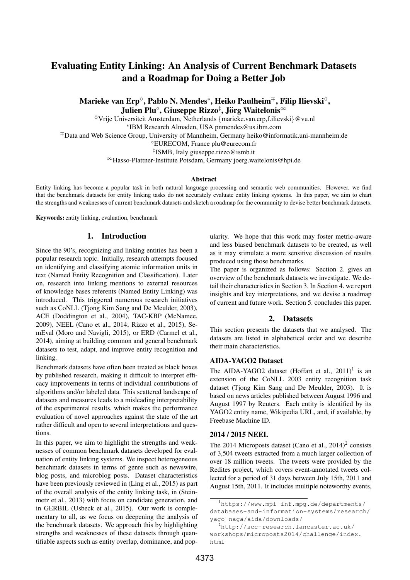# Evaluating Entity Linking: An Analysis of Current Benchmark Datasets and a Roadmap for Doing a Better Job

Marieke van Erp $^\Diamond$ , Pablo N. Mendes\*, Heiko Paulheim<sup>∓</sup>, Filip Ilievski $^\Diamond,$ Julien Plu $^{\circ}$ , Giuseppe Rizzo $^{\ddagger}$ , Jörg Waitelonis $^{\infty}$ 

♦Vrije Universiteit Amsterdam, Netherlands {marieke.van.erp,f.ilievski}@vu.nl ∗ IBM Research Almaden, USA pnmendes@us.ibm.com <sup>∓</sup>Data and Web Science Group, University of Mannheim, Germany heiko@informatik.uni-mannheim.de ◦EURECOM, France plu@eurecom.fr ‡ ISMB, Italy giuseppe.rizzo@ismb.it <sup>∞</sup>Hasso-Plattner-Institute Potsdam, Germany joerg.waitelonis@hpi.de

#### Abstract

Entity linking has become a popular task in both natural language processing and semantic web communities. However, we find that the benchmark datasets for entity linking tasks do not accurately evaluate entity linking systems. In this paper, we aim to chart the strengths and weaknesses of current benchmark datasets and sketch a roadmap for the community to devise better benchmark datasets.

Keywords: entity linking, evaluation, benchmark

### 1. Introduction

Since the 90's, recognizing and linking entities has been a popular research topic. Initially, research attempts focused on identifying and classifying atomic information units in text (Named Entity Recognition and Classification). Later on, research into linking mentions to external resources of knowledge bases referents (Named Entity Linking) was introduced. This triggered numerous research initiatives such as CoNLL (Tjong Kim Sang and De Meulder, 2003), ACE (Doddington et al., 2004), TAC-KBP (McNamee, 2009), NEEL (Cano et al., 2014; Rizzo et al., 2015), SemEval (Moro and Navigli, 2015), or ERD (Carmel et al., 2014), aiming at building common and general benchmark datasets to test, adapt, and improve entity recognition and linking.

Benchmark datasets have often been treated as black boxes by published research, making it difficult to interpret efficacy improvements in terms of individual contributions of algorithms and/or labeled data. This scattered landscape of datasets and measures leads to a misleading interpretability of the experimental results, which makes the performance evaluation of novel approaches against the state of the art rather difficult and open to several interpretations and questions.

In this paper, we aim to highlight the strengths and weaknesses of common benchmark datasets developed for evaluation of entity linking systems. We inspect heterogeneous benchmark datasets in terms of genre such as newswire, blog posts, and microblog posts. Dataset characteristics have been previously reviewed in (Ling et al., 2015) as part of the overall analysis of the entity linking task, in (Steinmetz et al., 2013) with focus on candidate generation, and in GERBIL (Usbeck et al., 2015). Our work is complementary to all, as we focus on deepening the analysis of the benchmark datasets. We approach this by highlighting strengths and weaknesses of these datasets through quantifiable aspects such as entity overlap, dominance, and popularity. We hope that this work may foster metric-aware and less biased benchmark datasets to be created, as well as it may stimulate a more sensitive discussion of results produced using those benchmarks.

The paper is organized as follows: Section 2. gives an overview of the benchmark datasets we investigate. We detail their characteristics in Section 3. In Section 4. we report insights and key interpretations, and we devise a roadmap of current and future work. Section 5. concludes this paper.

#### 2. Datasets

This section presents the datasets that we analysed. The datasets are listed in alphabetical order and we describe their main characteristics.

#### AIDA-YAGO2 Dataset

The AIDA-YAGO2 dataset (Hoffart et al.,  $2011$ )<sup>1</sup> is an extension of the CoNLL 2003 entity recognition task dataset (Tjong Kim Sang and De Meulder, 2003). It is based on news articles published between August 1996 and August 1997 by Reuters. Each entity is identified by its YAGO2 entity name, Wikipedia URL, and, if available, by Freebase Machine ID.

### 2014 / 2015 NEEL

The 2014 Microposts dataset (Cano et al.,  $2014$ )<sup>2</sup> consists of 3,504 tweets extracted from a much larger collection of over 18 million tweets. The tweets were provided by the Redites project, which covers event-annotated tweets collected for a period of 31 days between July 15th, 2011 and August 15th, 2011. It includes multiple noteworthy events,

<sup>1</sup>https://www.mpi-inf.mpg.de/departments/ databases-and-information-systems/research/ yago-naga/aida/downloads/

 $^{2}$ http://scc-research.lancaster.ac.uk/ workshops/microposts2014/challenge/index. html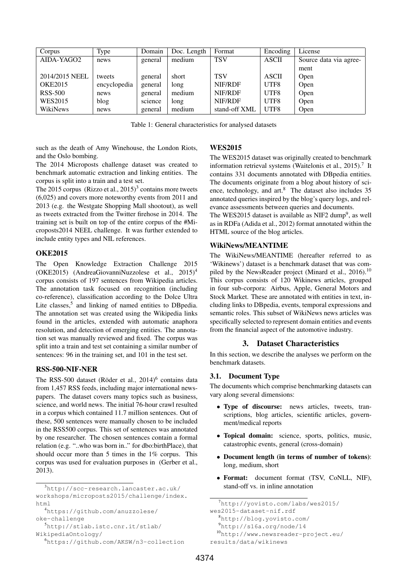| Corpus         | Type         | Domain  | Doc. Length | Format        | Encoding     | License                |
|----------------|--------------|---------|-------------|---------------|--------------|------------------------|
| AIDA-YAGO2     | news         | general | medium      | <b>TSV</b>    | <b>ASCII</b> | Source data via agree- |
|                |              |         |             |               |              | ment                   |
| 2014/2015 NEEL | tweets       | general | short       | <b>TSV</b>    | <b>ASCII</b> | Open                   |
| <b>OKE2015</b> | encyclopedia | general | long        | NIF/RDF       | UTF8         | Open                   |
| <b>RSS-500</b> | news         | general | medium      | NIF/RDF       | UTF8         | Open                   |
| <b>WES2015</b> | blog         | science | long        | NIF/RDF       | UTF8         | Open                   |
| WikiNews       | news         | general | medium      | stand-off XML | UTF8         | Open                   |

Table 1: General characteristics for analysed datasets

such as the death of Amy Winehouse, the London Riots, and the Oslo bombing.

The 2014 Microposts challenge dataset was created to benchmark automatic extraction and linking entities. The corpus is split into a train and a test set.

The 2015 corpus (Rizzo et al.,  $2015$ )<sup>3</sup> contains more tweets (6,025) and covers more noteworthy events from 2011 and 2013 (e.g. the Westgate Shopping Mall shootout), as well as tweets extracted from the Twitter firehose in 2014. The training set is built on top of the entire corpus of the #Microposts2014 NEEL challenge. It was further extended to include entity types and NIL references.

### OKE2015

The Open Knowledge Extraction Challenge 2015 (OKE2015) (AndreaGiovanniNuzzolese et al.,  $2015$ <sup>4</sup> corpus consists of 197 sentences from Wikipedia articles. The annotation task focused on recognition (including co-reference), classification according to the Dolce Ultra Lite classes,<sup>5</sup> and linking of named entities to DBpedia. The annotation set was created using the Wikipedia links found in the articles, extended with automatic anaphora resolution, and detection of emerging entities. The annotation set was manually reviewed and fixed. The corpus was split into a train and test set containing a similar number of sentences: 96 in the training set, and 101 in the test set.

### RSS-500-NIF-NER

The RSS-500 dataset (Röder et al., 2014)<sup>6</sup> contains data from 1,457 RSS feeds, including major international newspapers. The dataset covers many topics such as business, science, and world news. The initial 76-hour crawl resulted in a corpus which contained 11.7 million sentences. Out of these, 500 sentences were manually chosen to be included in the RSS500 corpus. This set of sentences was annotated by one researcher. The chosen sentences contain a formal relation (e.g. "..who was born in.." for dbo:birthPlace), that should occur more than 5 times in the 1% corpus. This corpus was used for evaluation purposes in (Gerber et al., 2013).

# WES2015

The WES2015 dataset was originally created to benchmark information retrieval systems (Waitelonis et al., 2015).<sup>7</sup> It contains 331 documents annotated with DBpedia entities. The documents originate from a blog about history of science, technology, and  $art^8$ . The dataset also includes 35 annotated queries inspired by the blog's query logs, and relevance assessments between queries and documents.

The WES2015 dataset is available as NIF2 dump<sup>9</sup>, as well as in RDFa (Adida et al., 2012) format annotated within the HTML source of the blog articles.

# WikiNews/MEANTIME

The WikiNews/MEANTIME (hereafter referred to as 'Wikinews') dataset is a benchmark dataset that was compiled by the NewsReader project (Minard et al., 2016).<sup>10</sup> This corpus consists of 120 Wikinews articles, grouped in four sub-corpora: Airbus, Apple, General Motors and Stock Market. These are annotated with entities in text, including links to DBpedia, events, temporal expressions and semantic roles. This subset of WikiNews news articles was specifically selected to represent domain entities and events from the financial aspect of the automotive industry.

# 3. Dataset Characteristics

In this section, we describe the analyses we perform on the benchmark datasets.

# 3.1. Document Type

The documents which comprise benchmarking datasets can vary along several dimensions:

- Type of discourse: news articles, tweets, transcriptions, blog articles, scientific articles, government/medical reports
- Topical domain: science, sports, politics, music, catastrophic events, general (cross-domain)
- Document length (in terms of number of tokens): long, medium, short
- Format: document format (TSV, CoNLL, NIF), stand-off vs. in inline annotation

```
results/data/wikinews
```
<sup>3</sup>http://scc-research.lancaster.ac.uk/ workshops/microposts2015/challenge/index. html

<sup>4</sup>https://github.com/anuzzolese/ oke-challenge

<sup>5</sup>http://stlab.istc.cnr.it/stlab/ WikipediaOntology/

<sup>6</sup>https://github.com/AKSW/n3-collection

<sup>7</sup>http://yovisto.com/labs/wes2015/

wes2015-dataset-nif.rdf

<sup>8</sup>http://blog.yovisto.com/

<sup>9</sup>http://s16a.org/node/14

<sup>10</sup>http://www.newsreader-project.eu/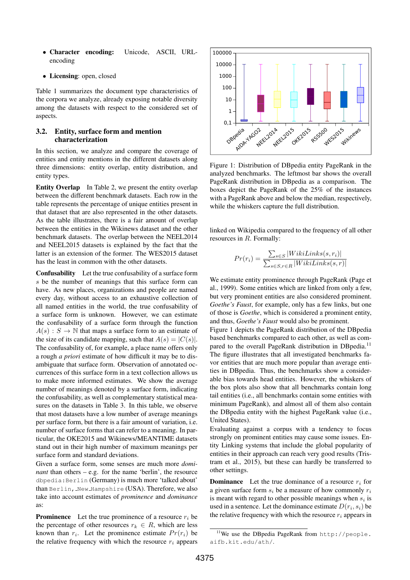- Character encoding: Unicode, ASCII, URLencoding
- Licensing: open, closed

Table 1 summarizes the document type characteristics of the corpora we analyze, already exposing notable diversity among the datasets with respect to the considered set of aspects.

### 3.2. Entity, surface form and mention characterization

In this section, we analyze and compare the coverage of entities and entity mentions in the different datasets along three dimensions: entity overlap, entity distribution, and entity types.

**Entity Overlap** In Table 2, we present the entity overlap between the different benchmark datasets. Each row in the table represents the percentage of unique entities present in that dataset that are also represented in the other datasets. As the table illustrates, there is a fair amount of overlap between the entities in the Wikinews dataset and the other benchmark datasets. The overlap between the NEEL2014 and NEEL2015 datasets is explained by the fact that the latter is an extension of the former. The WES2015 dataset has the least in common with the other datasets.

Confusability Let the true confusability of a surface form s be the number of meanings that this surface form can have. As new places, organizations and people are named every day, without access to an exhaustive collection of all named entities in the world, the true confusability of a surface form is unknown. However, we can estimate the confusability of a surface form through the function  $A(s) : S \to \mathbb{N}$  that maps a surface form to an estimate of the size of its candidate mapping, such that  $A(s) = |C(s)|$ . The confusability of, for example, a place name offers only a rough *a priori* estimate of how difficult it may be to disambiguate that surface form. Observation of annotated occurrences of this surface form in a text collection allows us to make more informed estimates. We show the average number of meanings denoted by a surface form, indicating the confusability, as well as complementary statistical measures on the datasets in Table 3. In this table, we observe that most datasets have a low number of average meanings per surface form, but there is a fair amount of variation, i.e. number of surface forms that can refer to a meaning. In particular, the OKE2015 and Wikinews/MEANTIME datasets stand out in their high number of maximum meanings per surface form and standard deviations.

Given a surface form, some senses are much more *dominant* than others – e.g. for the name 'berlin', the resource dbpedia:Berlin (Germany) is much more 'talked about' than Berlin, New Hampshire (USA). Therefore, we also take into account estimates of *prominence* and *dominance* as:

**Prominence** Let the true prominence of a resource  $r_i$  be the percentage of other resources  $r_k \in R$ , which are less known than  $r_i$ . Let the prominence estimate  $Pr(r_i)$  be the relative frequency with which the resource  $r_i$  appears



Figure 1: Distribution of DBpedia entity PageRank in the analyzed benchmarks. The leftmost bar shows the overall PageRank distribution in DBpedia as a comparison. The boxes depict the PageRank of the 25% of the instances with a PageRank above and below the median, respectively, while the whiskers capture the full distribution.

linked on Wikipedia compared to the frequency of all other resources in R. Formally:

$$
Pr(r_i) = \frac{\sum_{s \in S} |WikiLinks(s, r_i)|}{\sum_{s \in S, r \in R} |WikiLinks(s, r)|}
$$

We estimate entity prominence through PageRank (Page et al., 1999). Some entities which are linked from only a few, but very prominent entities are also considered prominent. *Goethe's Faust*, for example, only has a few links, but one of those is *Goethe*, which is considered a prominent entity, and thus, *Goethe's Faust* would also be prominent.

Figure 1 depicts the PageRank distribution of the DBpedia based benchmarks compared to each other, as well as compared to the overall PageRank distribution in DBpedia.<sup>11</sup> The figure illustrates that all investigated benchmarks favor entities that are much more popular than average entities in DBpedia. Thus, the benchmarks show a considerable bias towards head entities. However, the whiskers of the box plots also show that all benchmarks contain long tail entities (i.e., all benchmarks contain some entities with minimum PageRank), and almost all of them also contain the DBpedia entity with the highest PageRank value (i.e., United States).

Evaluating against a corpus with a tendency to focus strongly on prominent entities may cause some issues. Entity Linking systems that include the global popularity of entities in their approach can reach very good results (Tristram et al., 2015), but these can hardly be transferred to other settings.

**Dominance** Let the true dominance of a resource  $r_i$  for a given surface form  $s_i$  be a measure of how commonly  $r_i$ is meant with regard to other possible meanings when  $s_i$  is used in a sentence. Let the dominance estimate  $D(r_i, s_i)$  be the relative frequency with which the resource  $r_i$  appears in

<sup>11</sup>We use the DBpedia PageRank from http://people. aifb.kit.edu/ath/.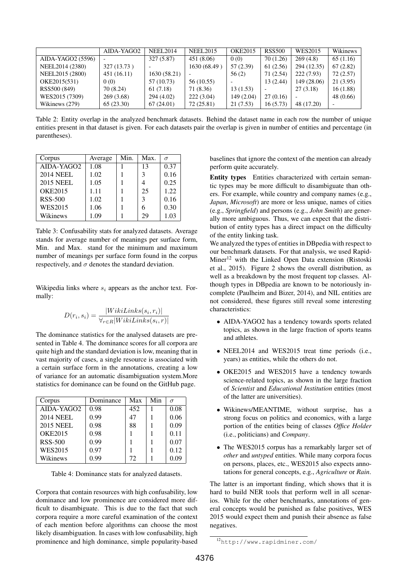|                   | AIDA-YAGO2  | <b>NEEL2014</b> | <b>NEEL2015</b> | <b>OKE2015</b> | <b>RSS500</b>            | WES2015     | Wikinews  |
|-------------------|-------------|-----------------|-----------------|----------------|--------------------------|-------------|-----------|
| AIDA-YAGO2 (5596) |             | 327(5.87)       | 451(8.06)       | 0(0)           | 70(1.26)                 | 269(4.8)    | 65(1.16)  |
| NEEL2014 (2380)   | 327 (13.73) |                 | 1630 (68.49)    | 57 (2.39)      | 61(2.56)                 | 294 (12.35) | 67(2.82)  |
| NEEL2015 (2800)   | 451(16.11)  | 1630 (58.21)    |                 | 56(2)          | 71(2.54)                 | 222 (7.93)  | 72(2.57)  |
| OKE2015(531)      | 0(0)        | 57 (10.73)      | 56 (10.55)      |                | 13(2.44)                 | 149 (28.06) | 21(3.95)  |
| RSS500 (849)      | 70 (8.24)   | 61 (7.18)       | 71 (8.36)       | 13(1.53)       | $\overline{\phantom{0}}$ | 27(3.18)    | 16(1.88)  |
| WES2015 (7309)    | 269 (3.68)  | 294 (4.02)      | 222(3.04)       | 149 (2.04)     | 27(0.16)                 |             | 48 (0.66) |
| Wikinews (279)    | 65(23.30)   | 67(24.01)       | 72(25.81)       | 21(7.53)       | 16(5.73)                 | 48 (17.20)  |           |

Table 2: Entity overlap in the analyzed benchmark datasets. Behind the dataset name in each row the number of unique entities present in that dataset is given. For each datasets pair the overlap is given in number of entities and percentage (in parentheses).

| Corpus                 | Average | Min. | Max. | $\sigma$ |
|------------------------|---------|------|------|----------|
| AIDA-YAGO <sub>2</sub> | 1.08    |      | 13   | 0.37     |
| <b>2014 NEEL</b>       | 1.02    |      | 3    | 0.16     |
| <b>2015 NEEL</b>       | 1.05    |      |      | 0.25     |
| <b>OKE2015</b>         | 1.11    |      | 25   | 1.22     |
| <b>RSS-500</b>         | 1.02    |      | 3    | 0.16     |
| <b>WES2015</b>         | 1.06    |      |      | 0.30     |
| Wikinews               | 1.09    |      | 29   | 1.03     |

Table 3: Confusability stats for analyzed datasets. Average stands for average number of meanings per surface form, Min. and Max. stand for the minimum and maximum number of meanings per surface form found in the corpus respectively, and  $\sigma$  denotes the standard deviation.

Wikipedia links where  $s_i$  appears as the anchor text. Formally:

$$
D(r_i, s_i) = \frac{|Wikilinks(s_i, r_i)|}{\forall_{r \in R} |Wikilinks(s_i, r)|}
$$

The dominance statistics for the analysed datasets are presented in Table 4. The dominance scores for all corpora are quite high and the standard deviation is low, meaning that in vast majority of cases, a single resource is associated with a certain surface form in the annotations, creating a low of variance for an automatic disambiguation system.More statistics for dominance can be found on the GitHub page.

| Corpus                 | Dominance | Max | Min | $\sigma$ |
|------------------------|-----------|-----|-----|----------|
| AIDA-YAGO <sub>2</sub> | 0.98      | 452 |     | 0.08     |
| <b>2014 NEEL</b>       | 0.99      | 47  |     | 0.06     |
| <b>2015 NEEL</b>       | 0.98      | 88  |     | 0.09     |
| <b>OKE2015</b>         | 0.98      |     |     | 0.11     |
| <b>RSS-500</b>         | 0.99      |     |     | 0.07     |
| WES2015                | 0.97      |     |     | 0.12     |
| Wikinews               | 0.99      | 72  |     | 0.09     |

Table 4: Dominance stats for analyzed datasets.

Corpora that contain resources with high confusability, low dominance and low prominence are considered more difficult to disambiguate. This is due to the fact that such corpora require a more careful examination of the context of each mention before algorithms can choose the most likely disambiguation. In cases with low confusability, high prominence and high dominance, simple popularity-based baselines that ignore the context of the mention can already perform quite accurately.

Entity types Entities characterized with certain semantic types may be more difficult to disambiguate than others. For example, while country and company names (e.g., *Japan*, *Microsoft*) are more or less unique, names of cities (e.g., *Springfield*) and persons (e.g., *John Smith*) are generally more ambiguous. Thus, we can expect that the distribution of entity types has a direct impact on the difficulty of the entity linking task.

We analyzed the types of entities in DBpedia with respect to our benchmark datasets. For that analysis, we used Rapid-Miner<sup>12</sup> with the Linked Open Data extension (Ristoski et al., 2015). Figure 2 shows the overall distribution, as well as a breakdown by the most frequent top classes. Although types in DBpedia are known to be notoriously incomplete (Paulheim and Bizer, 2014), and NIL entities are not considered, these figures still reveal some interesting characteristics:

- AIDA-YAGO2 has a tendency towards sports related topics, as shown in the large fraction of sports teams and athletes.
- NEEL2014 and WES2015 treat time periods (i.e., years) as entities, while the others do not.
- OKE2015 and WES2015 have a tendency towards science-related topics, as shown in the large fraction of *Scientist* and *Educational Institution* entities (most of the latter are universities).
- Wikinews/MEANTIME, without surprise, has a strong focus on politics and economics, with a large portion of the entities being of classes *Office Holder* (i.e., politicians) and *Company*.
- The WES2015 corpus has a remarkably larger set of *other* and *untyped* entities. While many corpora focus on persons, places, etc., WES2015 also expects annotations for general concepts, e.g., *Agriculture* or *Rain*.

The latter is an important finding, which shows that it is hard to build NER tools that perform well in all scenarios. While for the other benchmarks, annotations of general concepts would be punished as false positives, WES 2015 would expect them and punish their absence as false negatives.

<sup>12</sup>http://www.rapidminer.com/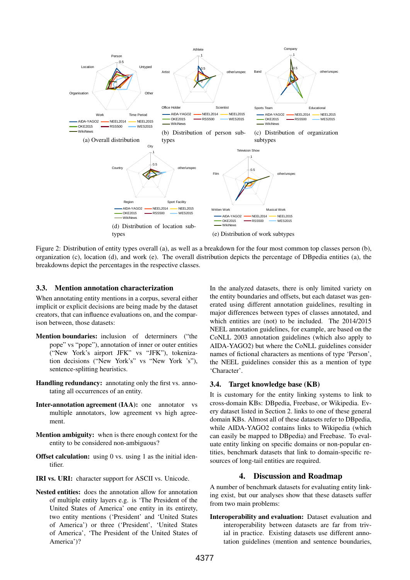

Figure 2: Distribution of entity types overall (a), as well as a breakdown for the four most common top classes person (b), organization (c), location (d), and work (e). The overall distribution depicts the percentage of DBpedia entities (a), the breakdowns depict the percentages in the respective classes.

### 3.3. Mention annotation characterization

When annotating entity mentions in a corpus, several either implicit or explicit decisions are being made by the dataset creators, that can influence evaluations on, and the comparison between, those datasets:

- Mention boundaries: inclusion of determiners ("the pope" vs "pope"), annotation of inner or outer entities ("New York's airport JFK" vs "JFK"), tokenization decisions ("New York's" vs "New York 's"), sentence-splitting heuristics.
- Handling redundancy: annotating only the first vs. annotating all occurrences of an entity.
- Inter-annotation agreement (IAA): one annotator vs multiple annotators, low agreement vs high agreement.
- Mention ambiguity: when is there enough context for the entity to be considered non-ambiguous?
- **Offset calculation:** using 0 vs. using 1 as the initial identifier.
- IRI vs. URI: character support for ASCII vs. Unicode.
- Nested entities: does the annotation allow for annotation of multiple entity layers e.g. is 'The President of the United States of America' one entity in its entirety, two entity mentions ('President' and 'United States of America') or three ('President', 'United States of America', 'The President of the United States of America')?

In the analyzed datasets, there is only limited variety on the entity boundaries and offsets, but each dataset was generated using different annotation guidelines, resulting in major differences between types of classes annotated, and which entities are (not) to be included. The 2014/2015 NEEL annotation guidelines, for example, are based on the CoNLL 2003 annotation guidelines (which also apply to AIDA-YAGO2) but where the CoNLL guidelines consider names of fictional characters as mentions of type 'Person', the NEEL guidelines consider this as a mention of type 'Character'.

### 3.4. Target knowledge base (KB)

It is customary for the entity linking systems to link to cross-domain KBs: DBpedia, Freebase, or Wikipedia. Every dataset listed in Section 2. links to one of these general domain KBs. Almost all of these datasets refer to DBpedia, while AIDA-YAGO2 contains links to Wikipedia (which can easily be mapped to DBpedia) and Freebase. To evaluate entity linking on specific domains or non-popular entities, benchmark datasets that link to domain-specific resources of long-tail entities are required.

### 4. Discussion and Roadmap

A number of benchmark datasets for evaluating entity linking exist, but our analyses show that these datasets suffer from two main problems:

Interoperability and evaluation: Dataset evaluation and interoperability between datasets are far from trivial in practice. Existing datasets use different annotation guidelines (mention and sentence boundaries,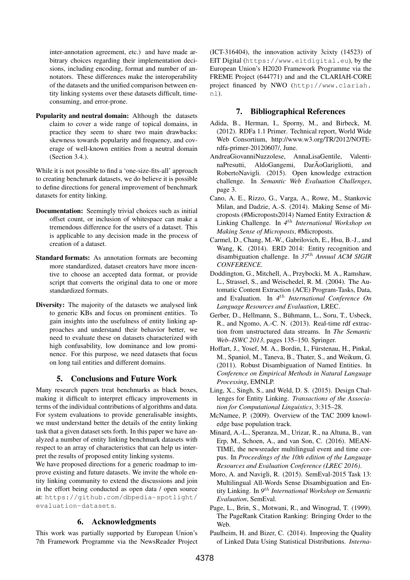inter-annotation agreement, etc.) and have made arbitrary choices regarding their implementation decisions, including encoding, format and number of annotators. These differences make the interoperability of the datasets and the unified comparison between entity linking systems over these datasets difficult, timeconsuming, and error-prone.

Popularity and neutral domain: Although the datasets claim to cover a wide range of topical domains, in practice they seem to share two main drawbacks: skewness towards popularity and frequency, and coverage of well-known entities from a neutral domain (Section 3.4.).

While it is not possible to find a 'one-size-fits-all' approach to creating benchmark datasets, we do believe it is possible to define directions for general improvement of benchmark datasets for entity linking.

- Documentation: Seemingly trivial choices such as initial offset count, or inclusion of whitespace can make a tremendous difference for the users of a dataset. This is applicable to any decision made in the process of creation of a dataset.
- Standard formats: As annotation formats are becoming more standardized, dataset creators have more incentive to choose an accepted data format, or provide script that converts the original data to one or more standardized formats.
- Diversity: The majority of the datasets we analysed link to generic KBs and focus on prominent entities. To gain insights into the usefulness of entity linking approaches and understand their behavior better, we need to evaluate these on datasets characterized with high confusability, low dominance and low prominence. For this purpose, we need datasets that focus on long tail entities and different domains.

# 5. Conclusions and Future Work

Many research papers treat benchmarks as black boxes, making it difficult to interpret efficacy improvements in terms of the individual contributions of algorithms and data. For system evaluations to provide generalisable insights, we must understand better the details of the entity linking task that a given dataset sets forth. In this paper we have analyzed a number of entity linking benchmark datasets with respect to an array of characteristics that can help us interpret the results of proposed entity linking systems.

We have proposed directions for a generic roadmap to improve existing and future datasets. We invite the whole entity linking community to extend the discussions and join in the effort being conducted as open data / open source at: https://github.com/dbpedia-spotlight/ evaluation-datasets.

# 6. Acknowledgments

This work was partially supported by European Union's 7th Framework Programme via the NewsReader Project (ICT-316404), the innovation activity 3cixty (14523) of EIT Digital (https://www.eitdigital.eu), by the European Union's H2020 Framework Programme via the FREME Project (644771) and and the CLARIAH-CORE project financed by NWO (http://www.clariah. nl).

# 7. Bibliographical References

- Adida, B., Herman, I., Sporny, M., and Birbeck, M. (2012). RDFa 1.1 Primer. Technical report, World Wide Web Consortium, http://www.w3.org/TR/2012/NOTErdfa-primer-20120607/, June.
- AndreaGiovanniNuzzolese, AnnaLisaGentile, ValentinaPresutti, AldoGangemi, DarÃoGarigliotti, and RobertoNavigli. (2015). Open knowledge extraction challenge. In *Semantic Web Evaluation Challenges*, page 3.
- Cano, A. E., Rizzo, G., Varga, A., Rowe, M., Stankovic Milan, and Dadzie, A.-S. (2014). Making Sense of Microposts (#Microposts2014) Named Entity Extraction & Linking Challenge. In *4* th *International Workshop on Making Sense of Microposts*, #Microposts.
- Carmel, D., Chang, M.-W., Gabrilovich, E., Hsu, B.-J., and Wang, K. (2014). ERD 2014: Entity recognition and disambiguation challenge. In *37*th *Annual ACM SIGIR CONFERENCE*.
- Doddington, G., Mitchell, A., Przybocki, M. A., Ramshaw, L., Strassel, S., and Weischedel, R. M. (2004). The Automatic Content Extraction (ACE) Program-Tasks, Data, and Evaluation. In *4* th *International Conference On Language Resources and Evaluation*, LREC.
- Gerber, D., Hellmann, S., Bühmann, L., Soru, T., Usbeck, R., and Ngomo, A.-C. N. (2013). Real-time rdf extraction from unstructured data streams. In *The Semantic Web–ISWC 2013*, pages 135–150. Springer.
- Hoffart, J., Yosef, M. A., Bordin, I., Fürstenau, H., Pinkal, M., Spaniol, M., Taneva, B., Thater, S., and Weikum, G. (2011). Robust Disambiguation of Named Entities. In *Conference on Empirical Methods in Natural Language Processing*, EMNLP.
- Ling, X., Singh, S., and Weld, D. S. (2015). Design Challenges for Entity Linking. *Transactions of the Association for Computational Linguistics*, 3:315–28.
- McNamee, P. (2009). Overview of the TAC 2009 knowledge base population track.
- Minard, A.-L., Speranza, M., Urizar, R., na Altuna, B., van Erp, M., Schoen, A., and van Son, C. (2016). MEAN-TIME, the newsreader multilingual event and time corpus. In *Proceedings of the 10th edition of the Language Resources and Evaluation Conference (LREC 2016)*.
- Moro, A. and Navigli, R. (2015). SemEval-2015 Task 13: Multilingual All-Words Sense Disambiguation and Entity Linking. In *9* th *International Workshop on Semantic Evaluation*, SemEval.
- Page, L., Brin, S., Motwani, R., and Winograd, T. (1999). The PageRank Citation Ranking: Bringing Order to the Web.
- Paulheim, H. and Bizer, C. (2014). Improving the Quality of Linked Data Using Statistical Distributions. *Interna-*